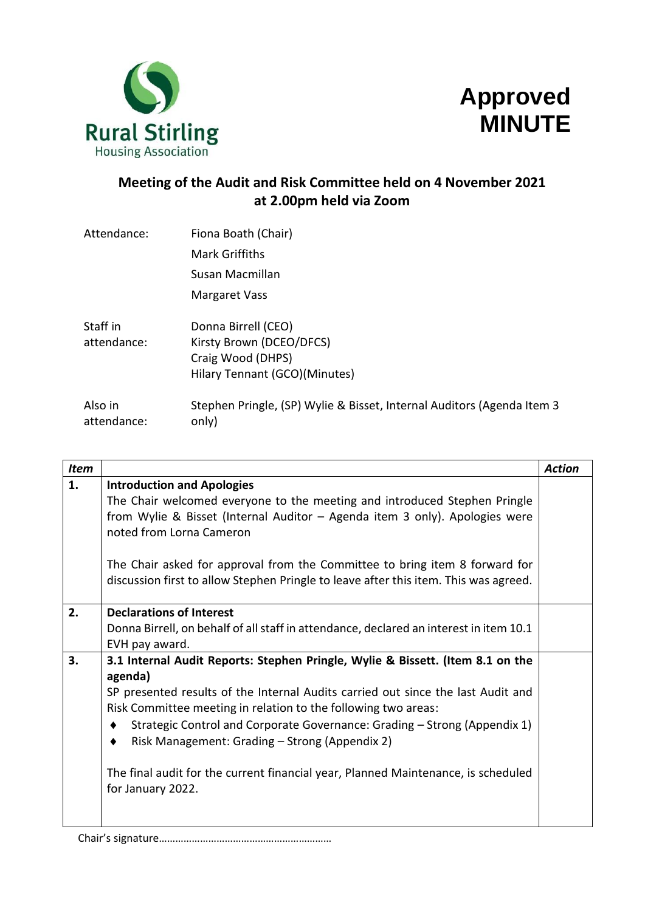



# **Meeting of the Audit and Risk Committee held on 4 November 2021 at 2.00pm held via Zoom**

| Attendance:            | Fiona Boath (Chair)                                                             |
|------------------------|---------------------------------------------------------------------------------|
|                        | <b>Mark Griffiths</b>                                                           |
|                        | Susan Macmillan                                                                 |
|                        | Margaret Vass                                                                   |
| Staff in               | Donna Birrell (CEO)                                                             |
| attendance:            | Kirsty Brown (DCEO/DFCS)                                                        |
|                        | Craig Wood (DHPS)                                                               |
|                        | Hilary Tennant (GCO)(Minutes)                                                   |
| Also in<br>attendance: | Stephen Pringle, (SP) Wylie & Bisset, Internal Auditors (Agenda Item 3<br>only) |
|                        |                                                                                 |

| <b>Item</b> |                                                                                                                                                                     | <b>Action</b> |
|-------------|---------------------------------------------------------------------------------------------------------------------------------------------------------------------|---------------|
| 1.          | <b>Introduction and Apologies</b>                                                                                                                                   |               |
|             | The Chair welcomed everyone to the meeting and introduced Stephen Pringle                                                                                           |               |
|             | from Wylie & Bisset (Internal Auditor - Agenda item 3 only). Apologies were<br>noted from Lorna Cameron                                                             |               |
|             | The Chair asked for approval from the Committee to bring item 8 forward for<br>discussion first to allow Stephen Pringle to leave after this item. This was agreed. |               |
| 2.          | <b>Declarations of Interest</b>                                                                                                                                     |               |
|             | Donna Birrell, on behalf of all staff in attendance, declared an interest in item 10.1                                                                              |               |
|             | EVH pay award.                                                                                                                                                      |               |
| 3.          | 3.1 Internal Audit Reports: Stephen Pringle, Wylie & Bissett. (Item 8.1 on the                                                                                      |               |
|             | agenda)                                                                                                                                                             |               |
|             | SP presented results of the Internal Audits carried out since the last Audit and                                                                                    |               |
|             | Risk Committee meeting in relation to the following two areas:                                                                                                      |               |
|             | Strategic Control and Corporate Governance: Grading - Strong (Appendix 1)                                                                                           |               |
|             | Risk Management: Grading – Strong (Appendix 2)                                                                                                                      |               |
|             | The final audit for the current financial year, Planned Maintenance, is scheduled<br>for January 2022.                                                              |               |

Chair's signature………………………………………………………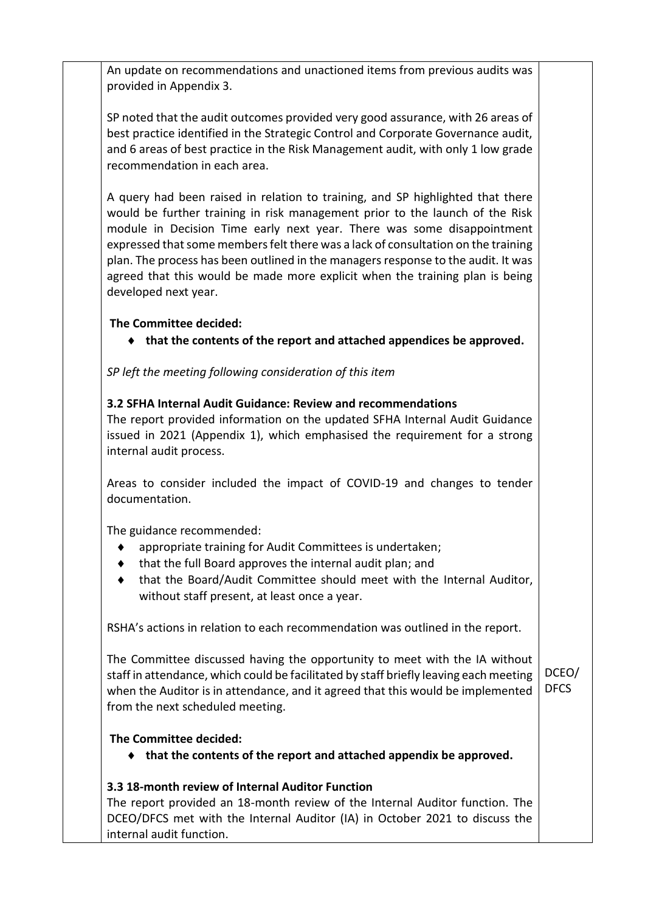An update on recommendations and unactioned items from previous audits was provided in Appendix 3.

SP noted that the audit outcomes provided very good assurance, with 26 areas of best practice identified in the Strategic Control and Corporate Governance audit, and 6 areas of best practice in the Risk Management audit, with only 1 low grade recommendation in each area.

A query had been raised in relation to training, and SP highlighted that there would be further training in risk management prior to the launch of the Risk module in Decision Time early next year. There was some disappointment expressed that some members felt there was a lack of consultation on the training plan. The process has been outlined in the managers response to the audit. It was agreed that this would be made more explicit when the training plan is being developed next year.

## **The Committee decided:**

**that the contents of the report and attached appendices be approved.**

*SP left the meeting following consideration of this item*

### **3.2 SFHA Internal Audit Guidance: Review and recommendations**

The report provided information on the updated SFHA Internal Audit Guidance issued in 2021 (Appendix 1), which emphasised the requirement for a strong internal audit process.

Areas to consider included the impact of COVID-19 and changes to tender documentation.

The guidance recommended:

- appropriate training for Audit Committees is undertaken;
- that the full Board approves the internal audit plan; and
- that the Board/Audit Committee should meet with the Internal Auditor, without staff present, at least once a year.

RSHA's actions in relation to each recommendation was outlined in the report.

The Committee discussed having the opportunity to meet with the IA without staff in attendance, which could be facilitated by staff briefly leaving each meeting when the Auditor is in attendance, and it agreed that this would be implemented from the next scheduled meeting. DCEO/ DFCS

### **The Committee decided:**

**that the contents of the report and attached appendix be approved.**

### **3.3 18-month review of Internal Auditor Function**

The report provided an 18-month review of the Internal Auditor function. The DCEO/DFCS met with the Internal Auditor (IA) in October 2021 to discuss the internal audit function.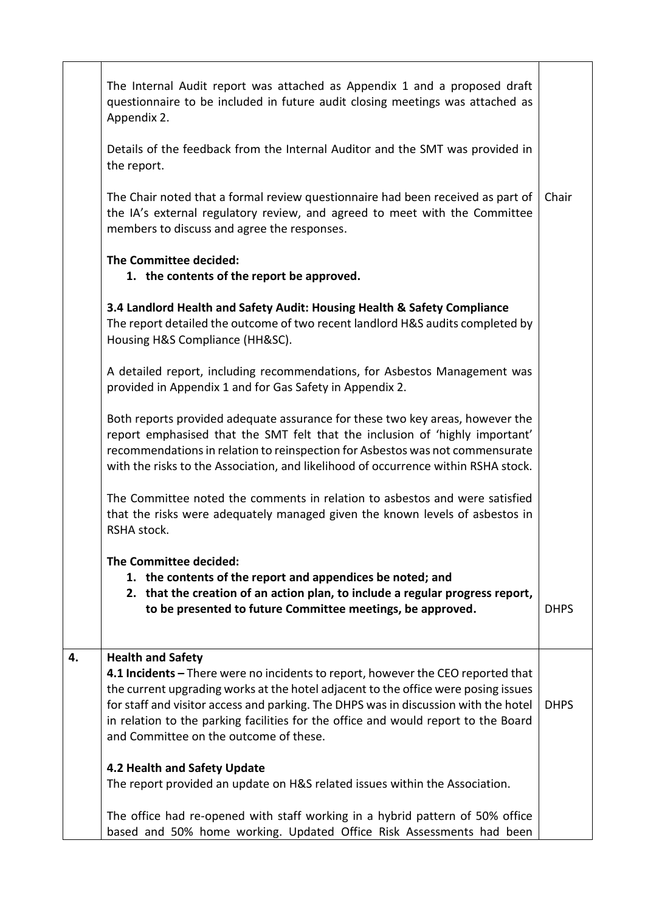|    | The Internal Audit report was attached as Appendix 1 and a proposed draft<br>questionnaire to be included in future audit closing meetings was attached as<br>Appendix 2.                                                                                                                                                                                                                     |             |
|----|-----------------------------------------------------------------------------------------------------------------------------------------------------------------------------------------------------------------------------------------------------------------------------------------------------------------------------------------------------------------------------------------------|-------------|
|    | Details of the feedback from the Internal Auditor and the SMT was provided in<br>the report.                                                                                                                                                                                                                                                                                                  |             |
|    | The Chair noted that a formal review questionnaire had been received as part of<br>the IA's external regulatory review, and agreed to meet with the Committee<br>members to discuss and agree the responses.                                                                                                                                                                                  | Chair       |
|    | The Committee decided:<br>1. the contents of the report be approved.                                                                                                                                                                                                                                                                                                                          |             |
|    | 3.4 Landlord Health and Safety Audit: Housing Health & Safety Compliance<br>The report detailed the outcome of two recent landlord H&S audits completed by<br>Housing H&S Compliance (HH&SC).                                                                                                                                                                                                 |             |
|    | A detailed report, including recommendations, for Asbestos Management was<br>provided in Appendix 1 and for Gas Safety in Appendix 2.                                                                                                                                                                                                                                                         |             |
|    | Both reports provided adequate assurance for these two key areas, however the<br>report emphasised that the SMT felt that the inclusion of 'highly important'<br>recommendations in relation to reinspection for Asbestos was not commensurate<br>with the risks to the Association, and likelihood of occurrence within RSHA stock.                                                          |             |
|    | The Committee noted the comments in relation to asbestos and were satisfied<br>that the risks were adequately managed given the known levels of asbestos in<br>RSHA stock.                                                                                                                                                                                                                    |             |
|    | The Committee decided:                                                                                                                                                                                                                                                                                                                                                                        |             |
|    | 1. the contents of the report and appendices be noted; and                                                                                                                                                                                                                                                                                                                                    |             |
|    | 2. that the creation of an action plan, to include a regular progress report,<br>to be presented to future Committee meetings, be approved.                                                                                                                                                                                                                                                   | <b>DHPS</b> |
| 4. | <b>Health and Safety</b>                                                                                                                                                                                                                                                                                                                                                                      |             |
|    | 4.1 Incidents - There were no incidents to report, however the CEO reported that<br>the current upgrading works at the hotel adjacent to the office were posing issues<br>for staff and visitor access and parking. The DHPS was in discussion with the hotel<br>in relation to the parking facilities for the office and would report to the Board<br>and Committee on the outcome of these. | <b>DHPS</b> |
|    | 4.2 Health and Safety Update                                                                                                                                                                                                                                                                                                                                                                  |             |
|    | The report provided an update on H&S related issues within the Association.                                                                                                                                                                                                                                                                                                                   |             |
|    | The office had re-opened with staff working in a hybrid pattern of 50% office<br>based and 50% home working. Updated Office Risk Assessments had been                                                                                                                                                                                                                                         |             |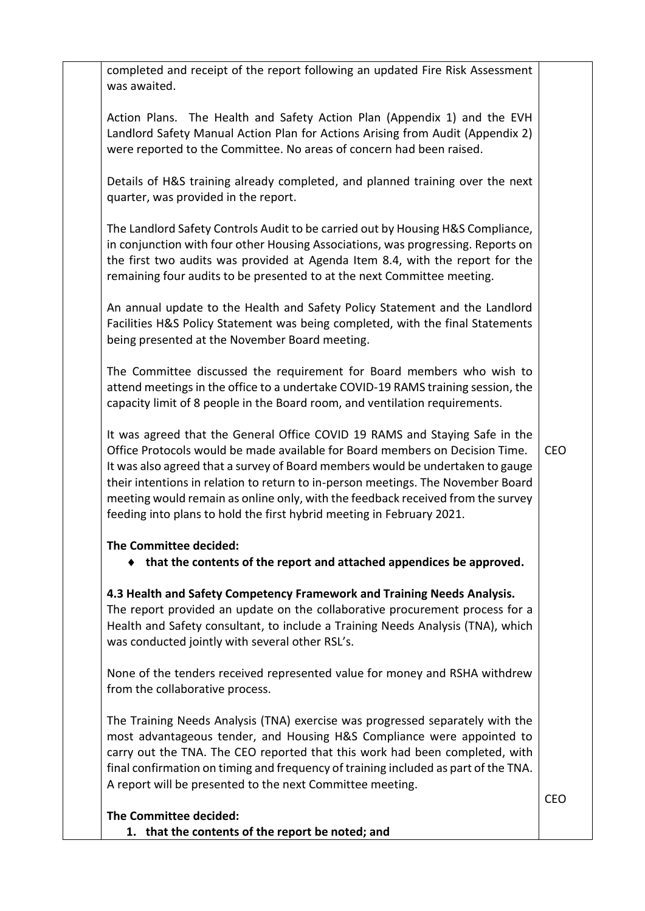completed and receipt of the report following an updated Fire Risk Assessment was awaited.

Action Plans. The Health and Safety Action Plan (Appendix 1) and the EVH Landlord Safety Manual Action Plan for Actions Arising from Audit (Appendix 2) were reported to the Committee. No areas of concern had been raised.

Details of H&S training already completed, and planned training over the next quarter, was provided in the report.

The Landlord Safety Controls Audit to be carried out by Housing H&S Compliance, in conjunction with four other Housing Associations, was progressing. Reports on the first two audits was provided at Agenda Item 8.4, with the report for the remaining four audits to be presented to at the next Committee meeting.

An annual update to the Health and Safety Policy Statement and the Landlord Facilities H&S Policy Statement was being completed, with the final Statements being presented at the November Board meeting.

The Committee discussed the requirement for Board members who wish to attend meetings in the office to a undertake COVID-19 RAMS training session, the capacity limit of 8 people in the Board room, and ventilation requirements.

It was agreed that the General Office COVID 19 RAMS and Staying Safe in the Office Protocols would be made available for Board members on Decision Time. It was also agreed that a survey of Board members would be undertaken to gauge their intentions in relation to return to in-person meetings. The November Board meeting would remain as online only, with the feedback received from the survey feeding into plans to hold the first hybrid meeting in February 2021. CEO

### **The Committee decided:**

**that the contents of the report and attached appendices be approved.**

### **4.3 Health and Safety Competency Framework and Training Needs Analysis.**

The report provided an update on the collaborative procurement process for a Health and Safety consultant, to include a Training Needs Analysis (TNA), which was conducted jointly with several other RSL's.

None of the tenders received represented value for money and RSHA withdrew from the collaborative process.

The Training Needs Analysis (TNA) exercise was progressed separately with the most advantageous tender, and Housing H&S Compliance were appointed to carry out the TNA. The CEO reported that this work had been completed, with final confirmation on timing and frequency of training included as part of the TNA. A report will be presented to the next Committee meeting.

**The Committee decided:**

**1. that the contents of the report be noted; and**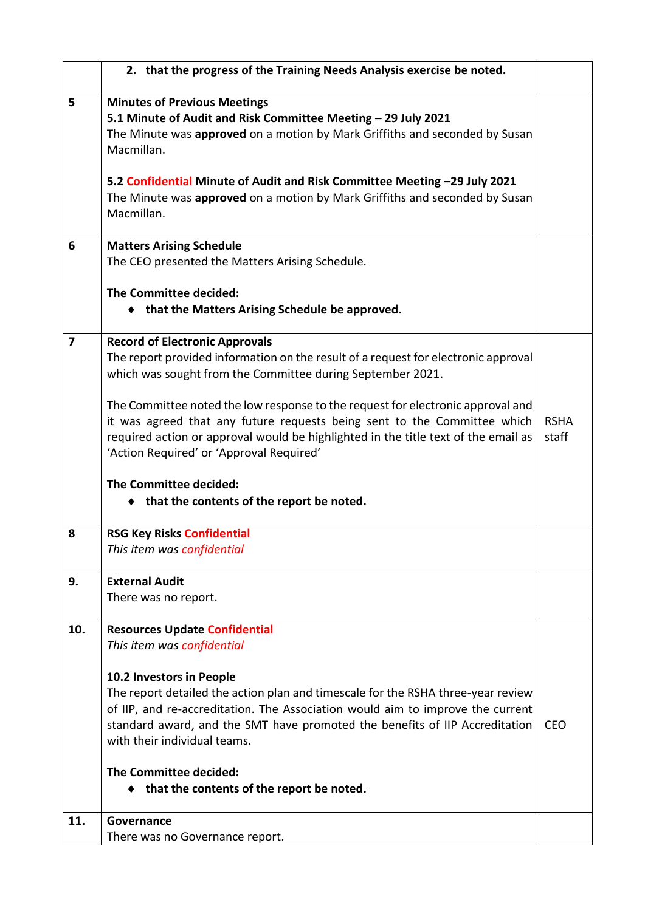|     | 2. that the progress of the Training Needs Analysis exercise be noted.             |             |
|-----|------------------------------------------------------------------------------------|-------------|
| 5   | <b>Minutes of Previous Meetings</b>                                                |             |
|     | 5.1 Minute of Audit and Risk Committee Meeting - 29 July 2021                      |             |
|     | The Minute was approved on a motion by Mark Griffiths and seconded by Susan        |             |
|     | Macmillan.                                                                         |             |
|     |                                                                                    |             |
|     | 5.2 Confidential Minute of Audit and Risk Committee Meeting -29 July 2021          |             |
|     | The Minute was approved on a motion by Mark Griffiths and seconded by Susan        |             |
|     | Macmillan.                                                                         |             |
| 6   | <b>Matters Arising Schedule</b>                                                    |             |
|     | The CEO presented the Matters Arising Schedule.                                    |             |
|     | The Committee decided:                                                             |             |
|     |                                                                                    |             |
|     | • that the Matters Arising Schedule be approved.                                   |             |
| 7   | <b>Record of Electronic Approvals</b>                                              |             |
|     | The report provided information on the result of a request for electronic approval |             |
|     | which was sought from the Committee during September 2021.                         |             |
|     |                                                                                    |             |
|     | The Committee noted the low response to the request for electronic approval and    |             |
|     | it was agreed that any future requests being sent to the Committee which           | <b>RSHA</b> |
|     | required action or approval would be highlighted in the title text of the email as | staff       |
|     | 'Action Required' or 'Approval Required'                                           |             |
|     | The Committee decided:                                                             |             |
|     | ◆ that the contents of the report be noted.                                        |             |
|     |                                                                                    |             |
| 8   | <b>RSG Key Risks Confidential</b>                                                  |             |
|     | This item was confidential                                                         |             |
|     |                                                                                    |             |
| 9.  | <b>External Audit</b>                                                              |             |
|     | There was no report.                                                               |             |
| 10. | <b>Resources Update Confidential</b>                                               |             |
|     | This item was confidential                                                         |             |
|     |                                                                                    |             |
|     | 10.2 Investors in People                                                           |             |
|     | The report detailed the action plan and timescale for the RSHA three-year review   |             |
|     | of IIP, and re-accreditation. The Association would aim to improve the current     |             |
|     | standard award, and the SMT have promoted the benefits of IIP Accreditation        | <b>CEO</b>  |
|     | with their individual teams.                                                       |             |
|     | The Committee decided:                                                             |             |
|     | that the contents of the report be noted.                                          |             |
|     |                                                                                    |             |
| 11. | Governance                                                                         |             |
|     | There was no Governance report.                                                    |             |
|     |                                                                                    |             |